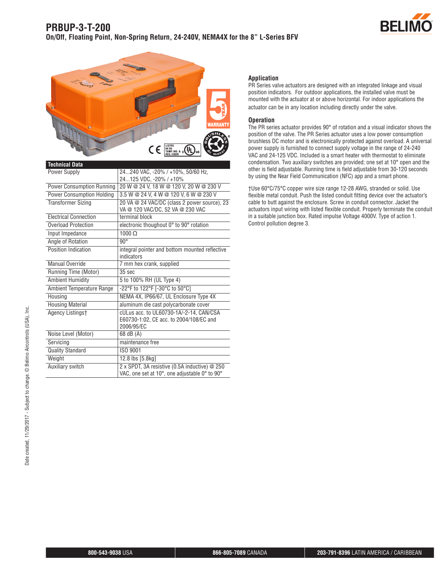



| <b>Technical Data</b>            |                                                                                                  |
|----------------------------------|--------------------------------------------------------------------------------------------------|
| Power Supply                     | 24240 VAC, -20% / +10%, 50/60 Hz,                                                                |
|                                  | 24125 VDC, -20% / +10%                                                                           |
| <b>Power Consumption Running</b> | 20 W @ 24 V, 18 W @ 120 V, 20 W @ 230 V                                                          |
| <b>Power Consumption Holding</b> | 3.5 W @ 24 V, 4 W @ 120 V, 6 W @ 230 V                                                           |
| <b>Transformer Sizing</b>        | 20 VA @ 24 VAC/DC (class 2 power source), 23<br>VA @ 120 VAC/DC, 52 VA @ 230 VAC                 |
| <b>Electrical Connection</b>     | terminal block                                                                                   |
| Overload Protection              | electronic thoughout 0° to 90° rotation                                                          |
| Input Impedance                  | $1000 \Omega$                                                                                    |
| Angle of Rotation                | $90^\circ$                                                                                       |
| Position Indication              | integral pointer and bottom mounted reflective<br>indicators                                     |
| Manual Override                  | 7 mm hex crank, supplied                                                                         |
| Running Time (Motor)             | 35 sec                                                                                           |
| <b>Ambient Humidity</b>          | 5 to 100% RH (UL Type 4)                                                                         |
| Ambient Temperature Range        | -22°F to 122°F [-30°C to 50°C]                                                                   |
| Housing                          | NEMA 4X, IP66/67, UL Enclosure Type 4X                                                           |
| <b>Housing Material</b>          | aluminum die cast polycarbonate cover                                                            |
| Agency Listingst                 | cULus acc. to UL60730-1A/-2-14, CAN/CSA<br>E60730-1:02, CE acc. to 2004/108/EC and<br>2006/95/EC |
| Noise Level (Motor)              | 68 dB (A)                                                                                        |
| Servicing                        | maintenance free                                                                                 |
| <b>Quality Standard</b>          | ISO 9001                                                                                         |
| Weight                           | 12.8 lbs [5.8kg]                                                                                 |
| Auxiliary switch                 | 2 x SPDT, 3A resistive (0.5A inductive) @ 250<br>VAC, one set at 10°, one adjustable 0° to 90°   |

## **Application**

PR Series valve actuators are designed with an integrated linkage and visual position indicators. For outdoor applications, the installed valve must be mounted with the actuator at or above horizontal. For indoor applications the actuator can be in any location including directly under the valve.

## **Operation**

The PR series actuator provides 90° of rotation and a visual indicator shows the position of the valve. The PR Series actuator uses a low power consumption brushless DC motor and is electronically protected against overload. A universal power supply is furnished to connect supply voltage in the range of 24-240 VAC and 24-125 VDC. Included is a smart heater with thermostat to eliminate condensation. Two auxiliary switches are provided; one set at 10° open and the other is field adjustable. Running time is field adjustable from 30-120 seconds by using the Near Field Communication (NFC) app and a smart phone.

†Use 60°C/75°C copper wire size range 12-28 AWG, stranded or solid. Use flexible metal conduit. Push the listed conduit fitting device over the actuator's cable to butt against the enclosure. Screw in conduit connector. Jacket the actuators input wiring with listed flexible conduit. Properly terminate the conduit in a suitable junction box. Rated impulse Voltage 4000V. Type of action 1. Control pollution degree 3.